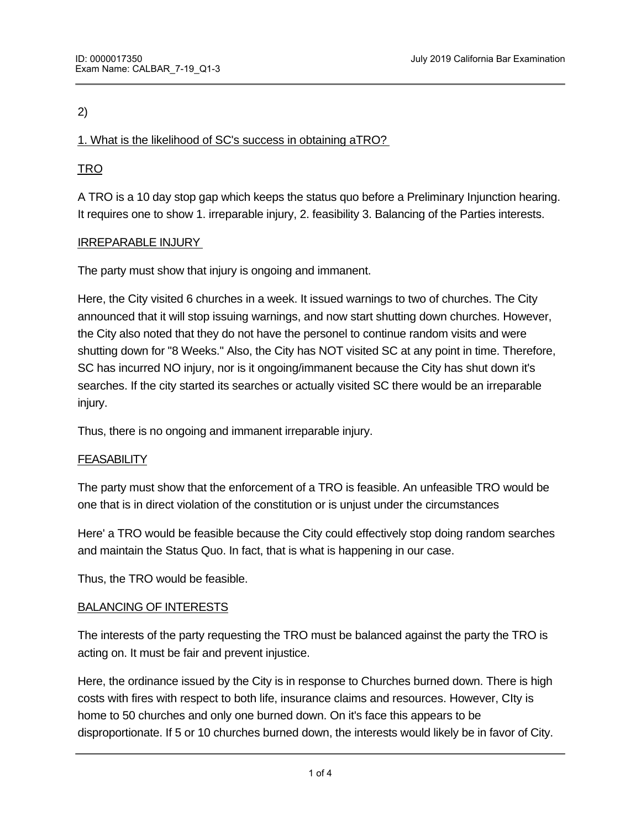# 2)

### 1. What is the likelihood of SC's success in obtaining aTRO?

# TRO

A TRO is a 10 day stop gap which keeps the status quo before a Preliminary Injunction hearing. It requires one to show 1. irreparable injury, 2. feasibility 3. Balancing of the Parties interests.

### IRREPARABLE INJURY

The party must show that injury is ongoing and immanent.

Here, the City visited 6 churches in a week. It issued warnings to two of churches. The City announced that it will stop issuing warnings, and now start shutting down churches. However, the City also noted that they do not have the personel to continue random visits and were shutting down for "8 Weeks." Also, the City has NOT visited SC at any point in time. Therefore, SC has incurred NO injury, nor is it ongoing/immanent because the City has shut down it's searches. If the city started its searches or actually visited SC there would be an irreparable injury.

Thus, there is no ongoing and immanent irreparable injury.

#### **FEASABILITY**

The party must show that the enforcement of a TRO is feasible. An unfeasible TRO would be one that is in direct violation of the constitution or is unjust under the circumstances

Here' a TRO would be feasible because the City could effectively stop doing random searches and maintain the Status Quo. In fact, that is what is happening in our case.

Thus, the TRO would be feasible.

#### BALANCING OF INTERESTS

The interests of the party requesting the TRO must be balanced against the party the TRO is acting on. It must be fair and prevent injustice.

Here, the ordinance issued by the City is in response to Churches burned down. There is high costs with fires with respect to both life, insurance claims and resources. However, CIty is home to 50 churches and only one burned down. On it's face this appears to be disproportionate. If 5 or 10 churches burned down, the interests would likely be in favor of City.

 $\mathcal{H}_{\text{H}}$  single church burning down may not justify the ordinance. The interest of  $\mathcal{H}_{\text{H}}$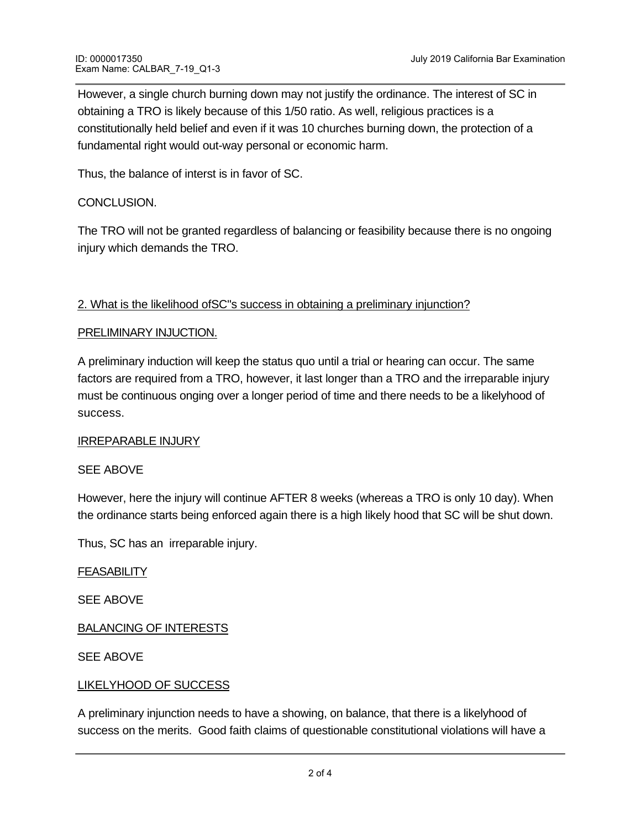However, a single church burning down may not justify the ordinance. The interest of SC in obtaining a TRO is likely because of this 1/50 ratio. As well, religious practices is a constitutionally held belief and even if it was 10 churches burning down, the protection of a fundamental right would out-way personal or economic harm.

Thus, the balance of interst is in favor of SC.

# CONCLUSION.

The TRO will not be granted regardless of balancing or feasibility because there is no ongoing injury which demands the TRO.

# 2. What is the likelihood of SC"s success in obtaining a preliminary injunction?

### PRELIMINARY INJUCTION.

A preliminary induction will keep the status quo until a trial or hearing can occur. The same factors are required from a TRO, however, it last longer than a TRO and the irreparable injury must be continuous onging over a longer period of time and there needs to be a likelyhood of success.

#### IRREPARABLE INJURY

### SEE ABOVE

However, here the injury will continue AFTER 8 weeks (whereas a TRO is only 10 day). When the ordinance starts being enforced again there is a high likely hood that SC will be shut down.

Thus, SC has an irreparable injury.

FEASABILITY

SEE ABOVE

BALANCING OF INTERESTS

SEE ABOVE

### LIKELYHOOD OF SUCCESS

high likelhood of success.

A preliminary injunction needs to have a showing, on balance, that there is a likelyhood of success on the merits. Good faith claims of questionable constitutional violations will have a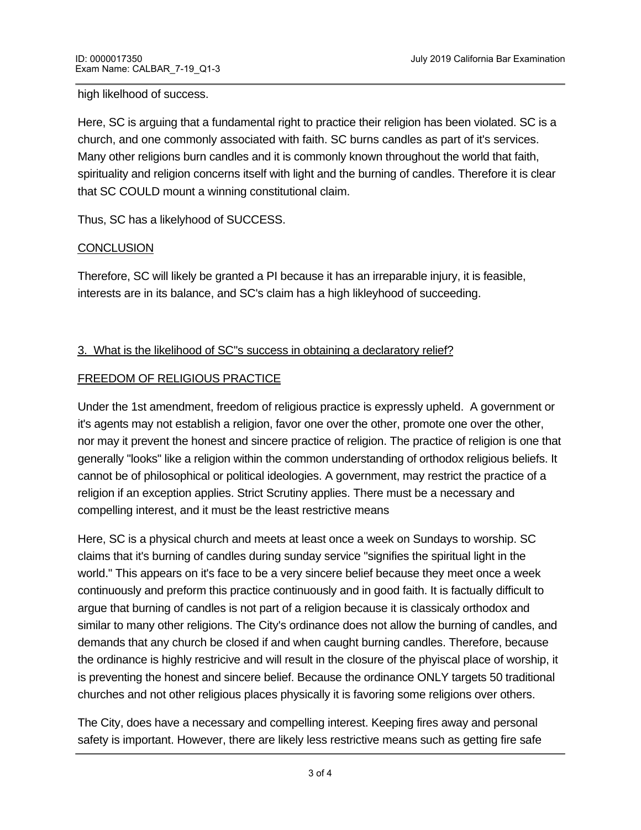high likelhood of success.

Here, SC is arguing that a fundamental right to practice their religion has been violated. SC is a church, and one commonly associated with faith. SC burns candles as part of it's services. Many other religions burn candles and it is commonly known throughout the world that faith, spirituality and religion concerns itself with light and the burning of candles. Therefore it is clear that SC COULD mount a winning constitutional claim.

Thus, SC has a likelyhood of SUCCESS.

# **CONCLUSION**

Therefore, SC will likely be granted a PI because it has an irreparable injury, it is feasible, interests are in its balance, and SC's claim has a high likleyhood of succeeding.

# 3. What is the likelihood of SC"s success in obtaining a declaratory relief?

# FREEDOM OF RELIGIOUS PRACTICE

Under the 1st amendment, freedom of religious practice is expressly upheld. A government or it's agents may not establish a religion, favor one over the other, promote one over the other, nor may it prevent the honest and sincere practice of religion. The practice of religion is one that generally "looks" like a religion within the common understanding of orthodox religious beliefs. It cannot be of philosophical or political ideologies. A government, may restrict the practice of a religion if an exception applies. Strict Scrutiny applies. There must be a necessary and compelling interest, and it must be the least restrictive means

Here, SC is a physical church and meets at least once a week on Sundays to worship. SC claims that it's burning of candles during sunday service "signifies the spiritual light in the world." This appears on it's face to be a very sincere belief because they meet once a week continuously and preform this practice continuously and in good faith. It is factually difficult to argue that burning of candles is not part of a religion because it is classicaly orthodox and similar to many other religions. The City's ordinance does not allow the burning of candles, and demands that any church be closed if and when caught burning candles. Therefore, because the ordinance is highly restricive and will result in the closure of the phyiscal place of worship, it is preventing the honest and sincere belief. Because the ordinance ONLY targets 50 traditional churches and not other religious places physically it is favoring some religions over others.

The City, does have a necessary and compelling interest. Keeping fires away and personal safety is important. However, there are likely less restrictive means such as getting fire safe

candles, or requiring the candles to be located in fire -proof containers/glasses.